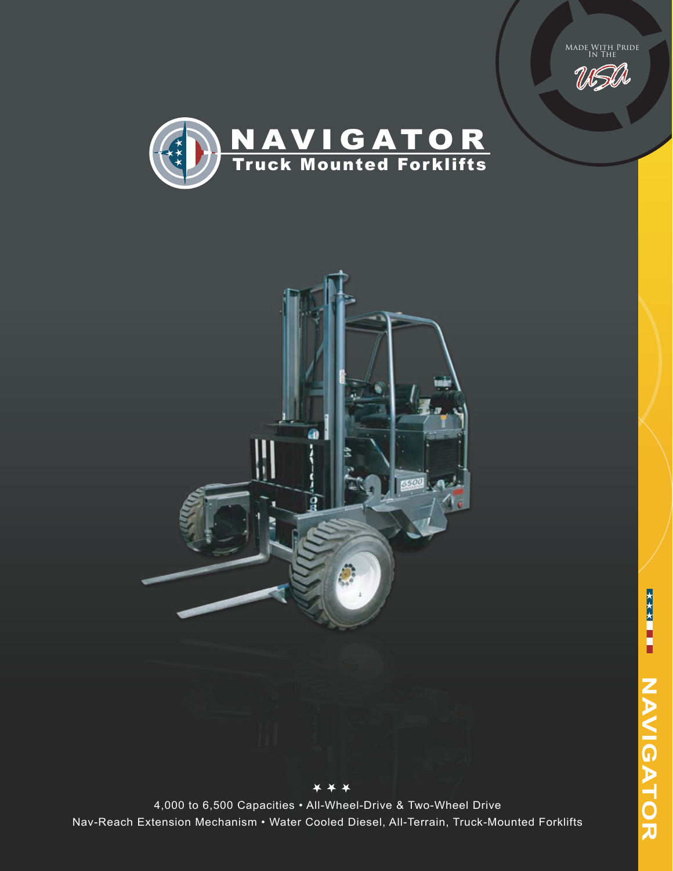Made With Pride<br>In The







4,000 to 6,500 Capacities • All-Wheel-Drive & Two-Wheel Drive Nav-Reach Extension Mechanism • Water Cooled Diesel, All-Terrain, Truck-Mounted Forklifts

\* \* \*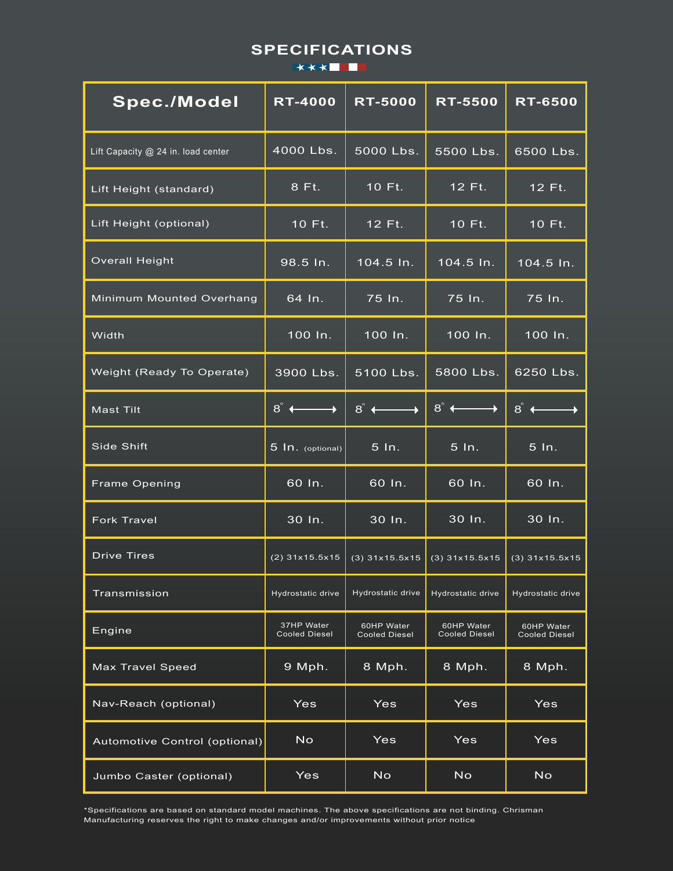# **SPECIFICATIONS**

| <b>Spec./Model</b>                 | <b>RT-4000</b>                     | <b>RT-5000</b>                     | <b>RT-5500</b>                     | <b>RT-6500</b>                     |
|------------------------------------|------------------------------------|------------------------------------|------------------------------------|------------------------------------|
| Lift Capacity @ 24 in. load center | 4000 Lbs.                          | 5000 Lbs.                          | 5500 Lbs.                          | 6500 Lbs.                          |
| Lift Height (standard)             | 8 Ft.                              | 10 Ft.                             | 12 Ft.                             | 12 Ft.                             |
| Lift Height (optional)             | 10 Ft.                             | 12 Ft.                             | 10 Ft.                             | 10 Ft.                             |
| <b>Overall Height</b>              | 98.5 In.                           | 104.5 ln.                          | 104.5 ln.                          | 104.5 In.                          |
| Minimum Mounted Overhang           | $64$ In.                           | 75 In.                             | 75 In.                             | 75 In.                             |
| Width                              | 100 In.                            | 100 In.                            | 100 In.                            | 100 In.                            |
| Weight (Ready To Operate)          | 3900 Lbs.                          | 5100 Lbs.                          | 5800 Lbs.                          | 6250 Lbs.                          |
| <b>Mast Tilt</b>                   | $8^\circ$ +                        | $8^\circ \longleftarrow$           | $8^\circ$ +                        | $8^\degree$ $\leftarrow$           |
| Side Shift                         | 5 In. (optional)                   | 5 In.                              | $5 \ln$ .                          | 5 In.                              |
| <b>Frame Opening</b>               | 60 In.                             | 60 In.                             | 60 In.                             | 60 In.                             |
| <b>Fork Travel</b>                 | 30 In.                             | 30 In.                             | 30 In.                             | 30 In.                             |
| <b>Drive Tires</b>                 | $(2)$ 31x15.5x15                   | $(3)$ 31x15.5x15                   | $(3)$ 31x15.5x15                   | $(3)$ 31x15.5x15                   |
| Transmission                       | Hydrostatic drive                  | Hydrostatic drive                  | Hydrostatic drive                  | Hydrostatic drive                  |
| Engine                             | 37HP Water<br><b>Cooled Diesel</b> | 60HP Water<br><b>Cooled Diesel</b> | 60HP Water<br><b>Cooled Diesel</b> | 60HP Water<br><b>Cooled Diesel</b> |
| <b>Max Travel Speed</b>            | 9 Mph.                             | 8 Mph.                             | 8 Mph.                             | 8 Mph.                             |
| Nav-Reach (optional)               | Yes                                | Yes                                | Yes                                | Yes                                |
| Automotive Control (optional)      | <b>No</b>                          | Yes                                | Yes                                | Yes                                |
| Jumbo Caster (optional)            | Yes                                | <b>No</b>                          | <b>No</b>                          | <b>No</b>                          |

\*Specifications are based on standard model machines. The above specifications are not binding. Chrisman Manufacturing reserves the right to make changes and/or improvements without prior notice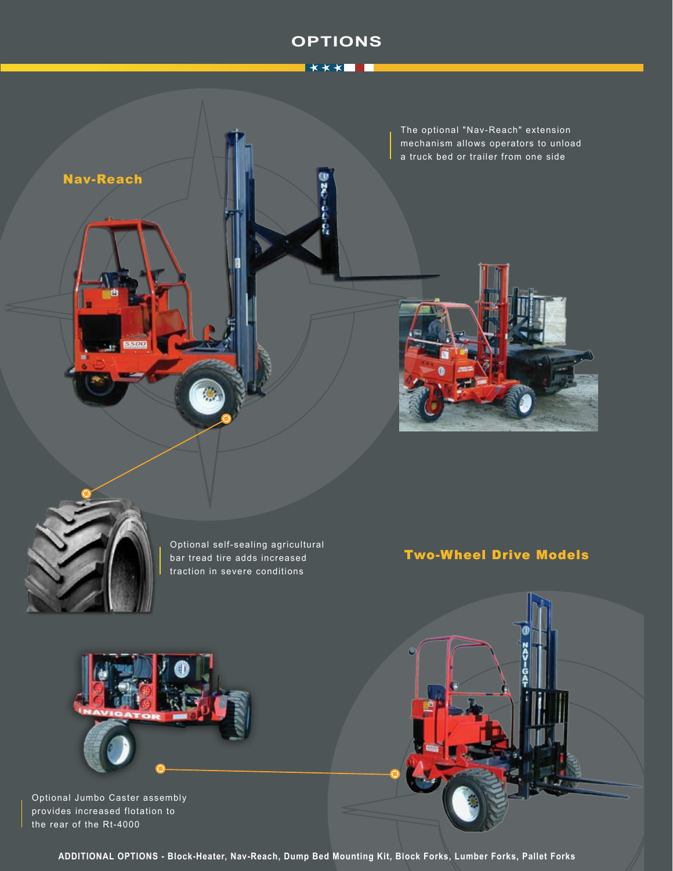## **OPTIONS**







Optional self-sealing agricultural bar tread tire adds increased traction in severe conditions

# Two-Wheel Drive Models



Optional Jumbo Caster assembly provides increased flotation to the rear of the Rt-4000

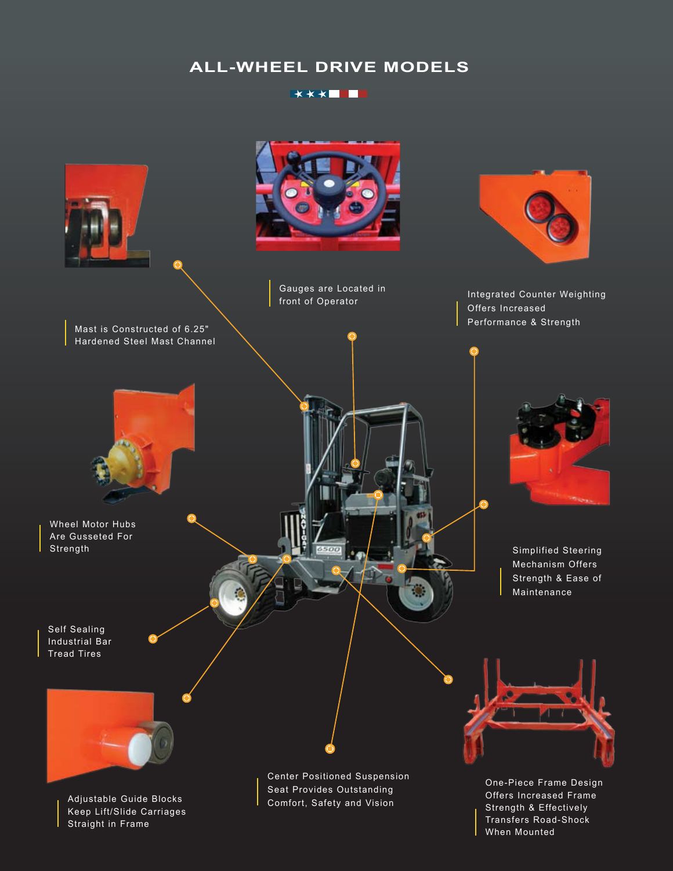# **ALL-WHEEL DRIVE MODELS**

#### \*\*\***\*\*\***

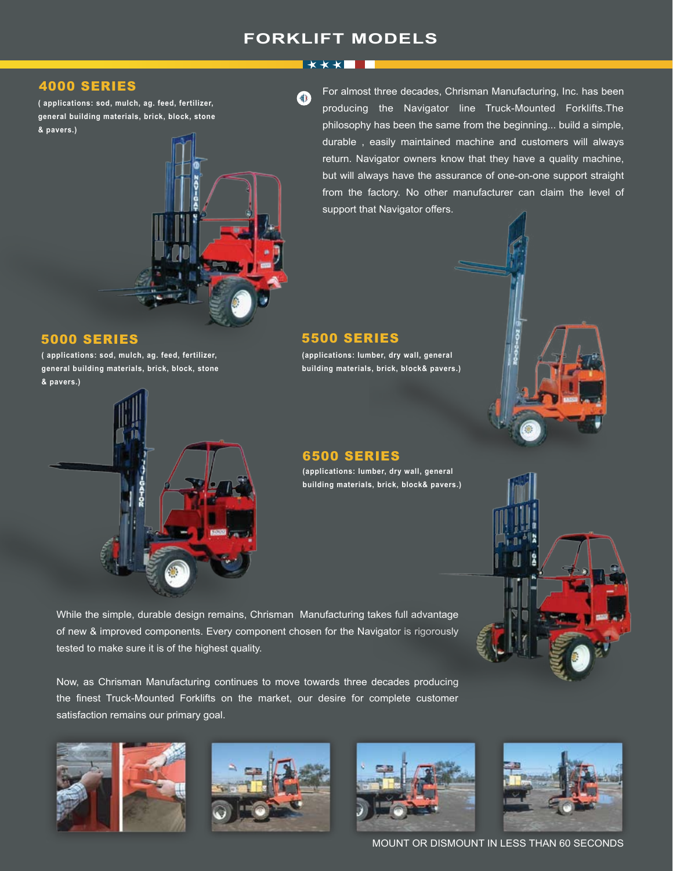# **FORKLIFT MODELS**

**XXXTII** 

#### 4000 SERIES

**( applications: sod, mulch, ag. feed, fertilizer, general building materials, brick, block, stone & pavers.)**



**( applications: sod, mulch, ag. feed, fertilizer, general building materials, brick, block, stone & pavers.)**





For almost three decades, Chrisman Manufacturing, Inc. has been producing the Navigator line Truck-Mounted Forklifts.The philosophy has been the same from the beginning... build a simple, durable , easily maintained machine and customers will always return. Navigator owners know that they have a quality machine, but will always have the assurance of one-on-one support straight from the factory. No other manufacturer can claim the level of support that Navigator offers.

### 5000 SERIES 5500 SERIES

**(applications: lumber, dry wall, general building materials, brick, block& pavers.)**

#### 6500 SERIES

**(applications: lumber, dry wall, general building materials, brick, block& pavers.)**

While the simple, durable design remains, Chrisman Manufacturing takes full advantage of new & improved components. Every component chosen for the Navigator is rigorously tested to make sure it is of the highest quality.

Now, as Chrisman Manufacturing continues to move towards three decades producing the finest Truck-Mounted Forklifts on the market, our desire for complete customer satisfaction remains our primary goal.









MOUNT OR DISMOUNT IN LESS THAN 60 SECONDS